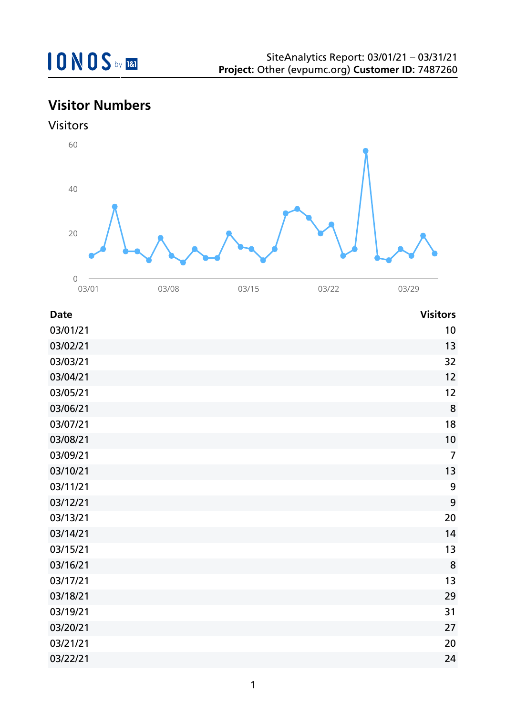## **Visitor Numbers**



| <b>Date</b> | <b>Visitors</b>  |
|-------------|------------------|
| 03/01/21    | 10               |
| 03/02/21    | 13               |
| 03/03/21    | 32               |
| 03/04/21    | 12               |
| 03/05/21    | 12               |
| 03/06/21    | 8                |
| 03/07/21    | 18               |
| 03/08/21    | 10               |
| 03/09/21    | $\overline{7}$   |
| 03/10/21    | 13               |
| 03/11/21    | $\boldsymbol{9}$ |
| 03/12/21    | 9                |
| 03/13/21    | 20               |
| 03/14/21    | 14               |
| 03/15/21    | 13               |
| 03/16/21    | 8                |
| 03/17/21    | 13               |
| 03/18/21    | 29               |
| 03/19/21    | 31               |
| 03/20/21    | 27               |
| 03/21/21    | 20               |
| 03/22/21    | 24               |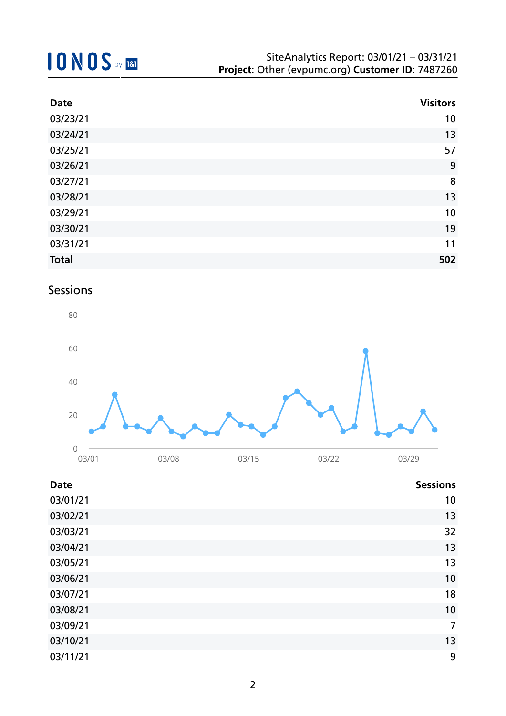| <b>Date</b>  | <b>Visitors</b> |
|--------------|-----------------|
| 03/23/21     | 10              |
| 03/24/21     | 13              |
| 03/25/21     | 57              |
| 03/26/21     | 9               |
| 03/27/21     | 8               |
| 03/28/21     | 13              |
| 03/29/21     | 10              |
| 03/30/21     | 19              |
| 03/31/21     | 11              |
| <b>Total</b> | 502             |

### Sessions



| <b>Date</b> | <b>Sessions</b> |
|-------------|-----------------|
| 03/01/21    | 10              |
| 03/02/21    | 13              |
| 03/03/21    | 32              |
| 03/04/21    | 13              |
| 03/05/21    | 13              |
| 03/06/21    | 10              |
| 03/07/21    | 18              |
| 03/08/21    | 10              |
| 03/09/21    | $\overline{7}$  |
| 03/10/21    | 13              |
| 03/11/21    | 9               |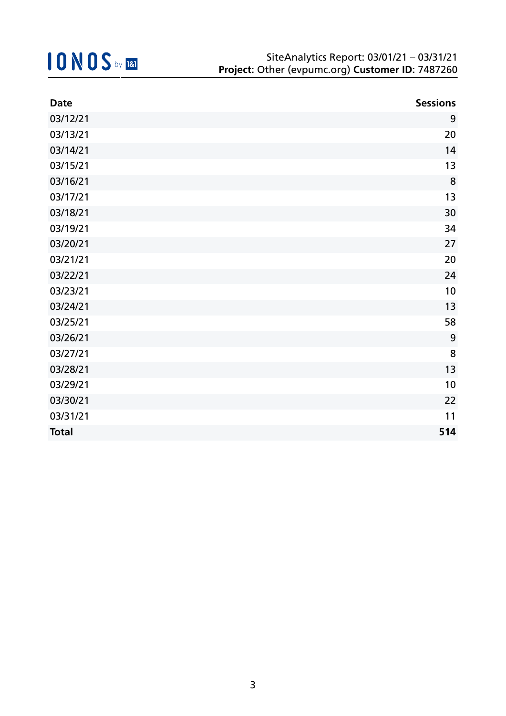| <b>Date</b>  | <b>Sessions</b> |
|--------------|-----------------|
| 03/12/21     | 9               |
| 03/13/21     | 20              |
| 03/14/21     | 14              |
| 03/15/21     | 13              |
| 03/16/21     | 8               |
| 03/17/21     | 13              |
| 03/18/21     | 30              |
| 03/19/21     | 34              |
| 03/20/21     | 27              |
| 03/21/21     | 20              |
| 03/22/21     | 24              |
| 03/23/21     | 10              |
| 03/24/21     | 13              |
| 03/25/21     | 58              |
| 03/26/21     | 9               |
| 03/27/21     | 8               |
| 03/28/21     | 13              |
| 03/29/21     | 10              |
| 03/30/21     | 22              |
| 03/31/21     | 11              |
| <b>Total</b> | 514             |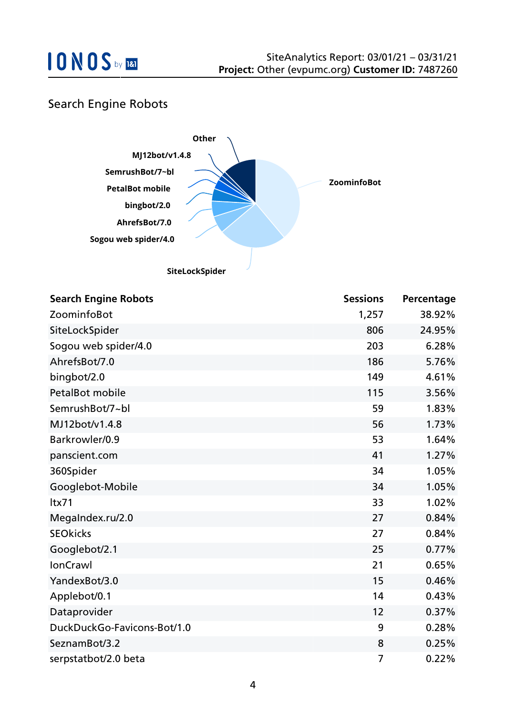

### Search Engine Robots



| <b>Search Engine Robots</b> | <b>Sessions</b> | Percentage |
|-----------------------------|-----------------|------------|
| ZoominfoBot                 | 1,257           | 38.92%     |
| SiteLockSpider              | 806             | 24.95%     |
| Sogou web spider/4.0        | 203             | 6.28%      |
| AhrefsBot/7.0               | 186             | 5.76%      |
| bingbot/2.0                 | 149             | 4.61%      |
| <b>PetalBot mobile</b>      | 115             | 3.56%      |
| SemrushBot/7~bl             | 59              | 1.83%      |
| MJ12bot/v1.4.8              | 56              | 1.73%      |
| Barkrowler/0.9              | 53              | 1.64%      |
| panscient.com               | 41              | 1.27%      |
| 360Spider                   | 34              | 1.05%      |
| Googlebot-Mobile            | 34              | 1.05%      |
| ltx71                       | 33              | 1.02%      |
| MegaIndex.ru/2.0            | 27              | 0.84%      |
| <b>SEOkicks</b>             | 27              | 0.84%      |
| Googlebot/2.1               | 25              | 0.77%      |
| <b>IonCrawl</b>             | 21              | 0.65%      |
| YandexBot/3.0               | 15              | 0.46%      |
| Applebot/0.1                | 14              | 0.43%      |
| Dataprovider                | 12              | 0.37%      |
| DuckDuckGo-Favicons-Bot/1.0 | 9               | 0.28%      |
| SeznamBot/3.2               | 8               | 0.25%      |
| serpstatbot/2.0 beta        | 7               | 0.22%      |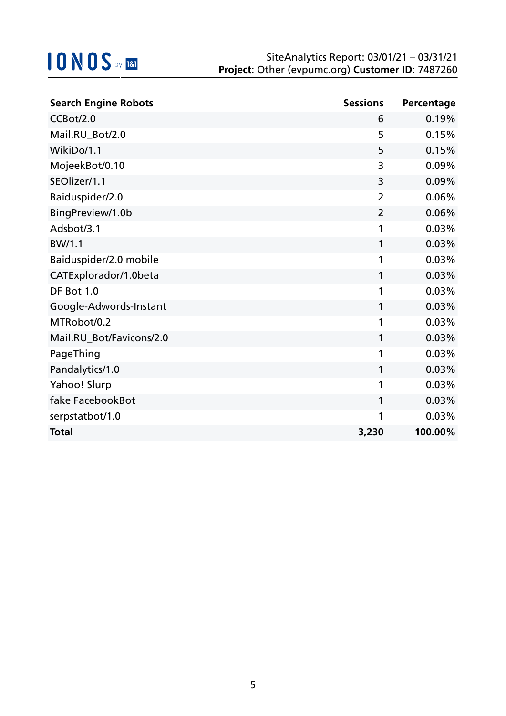| <b>Search Engine Robots</b> | <b>Sessions</b> | Percentage |
|-----------------------------|-----------------|------------|
| CCBot/2.0                   | 6               | 0.19%      |
| Mail.RU_Bot/2.0             | 5               | 0.15%      |
| WikiDo/1.1                  | 5               | 0.15%      |
| MojeekBot/0.10              | 3               | 0.09%      |
| SEOlizer/1.1                | 3               | 0.09%      |
| Baiduspider/2.0             | $\overline{2}$  | 0.06%      |
| BingPreview/1.0b            | $\overline{2}$  | 0.06%      |
| Adsbot/3.1                  | 1               | 0.03%      |
| BW/1.1                      | 1               | 0.03%      |
| Baiduspider/2.0 mobile      | 1               | 0.03%      |
| CATExplorador/1.0beta       | 1               | 0.03%      |
| DF Bot 1.0                  | 1               | 0.03%      |
| Google-Adwords-Instant      | 1               | 0.03%      |
| MTRobot/0.2                 | 1               | 0.03%      |
| Mail.RU_Bot/Favicons/2.0    | 1               | 0.03%      |
| PageThing                   | 1               | 0.03%      |
| Pandalytics/1.0             | 1               | 0.03%      |
| Yahoo! Slurp                | 1               | 0.03%      |
| fake FacebookBot            | 1               | 0.03%      |
| serpstatbot/1.0             | 1               | 0.03%      |
| <b>Total</b>                | 3,230           | 100.00%    |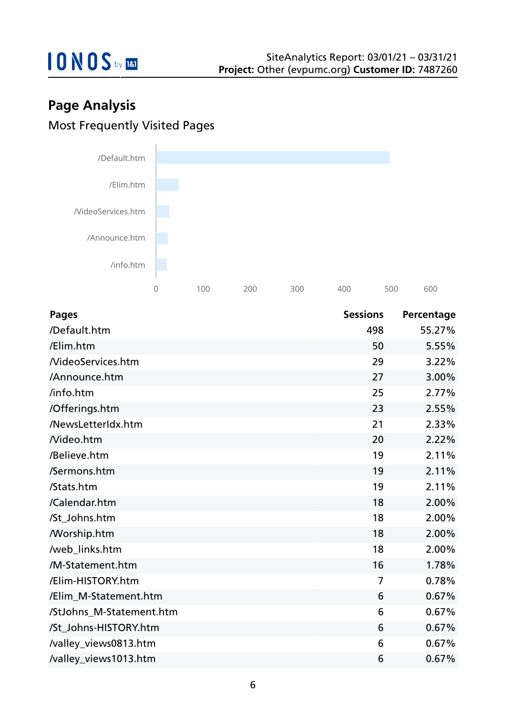

## **Page Analysis** Most Frequently Visited Pages



| <b>Pages</b>             | <b>Sessions</b> | Percentage |
|--------------------------|-----------------|------------|
| /Default.htm             | 498             | 55.27%     |
| /Elim.htm                | 50              | 5.55%      |
| <b>NideoServices.htm</b> | 29              | 3.22%      |
| /Announce.htm            | 27              | 3.00%      |
| /info.htm                | 25              | 2.77%      |
| /Offerings.htm           | 23              | 2.55%      |
| /NewsLetterIdx.htm       | 21              | 2.33%      |
| Nideo.htm                | 20              | 2.22%      |
| /Believe.htm             | 19              | 2.11%      |
| /Sermons.htm             | 19              | 2.11%      |
| /Stats.htm               | 19              | 2.11%      |
| /Calendar.htm            | 18              | 2.00%      |
| /St_Johns.htm            | 18              | 2.00%      |
| <b>Morship.htm</b>       | 18              | 2.00%      |
| /web_links.htm           | 18              | 2.00%      |
| /M-Statement.htm         | 16              | 1.78%      |
| /Elim-HISTORY.htm        | $\overline{7}$  | 0.78%      |
| /Elim_M-Statement.htm    | 6               | 0.67%      |
| /StJohns_M-Statement.htm | 6               | 0.67%      |
| /St_Johns-HISTORY.htm    | 6               | 0.67%      |
| /valley_views0813.htm    | 6               | 0.67%      |
| /valley_views1013.htm    | 6               | 0.67%      |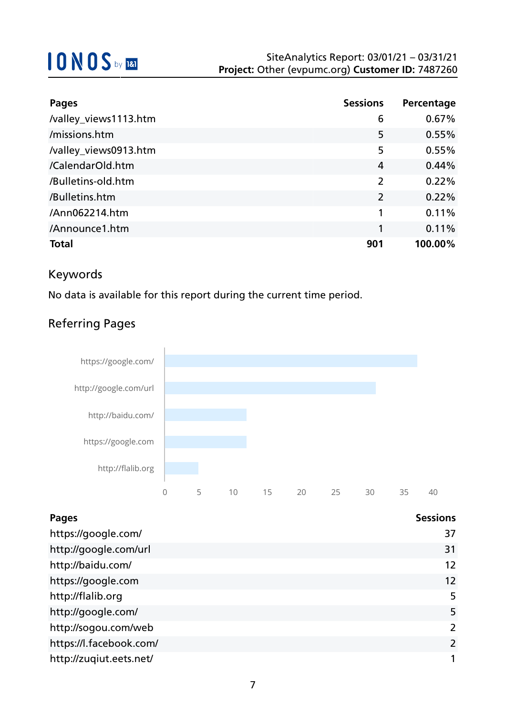| <b>Pages</b>          | <b>Sessions</b> | Percentage |
|-----------------------|-----------------|------------|
| /valley_views1113.htm | 6               | 0.67%      |
| /missions.htm         | 5               | 0.55%      |
| /valley_views0913.htm | 5               | 0.55%      |
| /CalendarOld.htm      | 4               | 0.44%      |
| /Bulletins-old.htm    | $\overline{2}$  | 0.22%      |
| /Bulletins.htm        | $\overline{2}$  | 0.22%      |
| /Ann062214.htm        | 1               | 0.11%      |
| /Announce1.htm        |                 | 0.11%      |
| <b>Total</b>          | 901             | 100.00%    |

### Keywords

No data is available for this report during the current time period.

### Referring Pages



| <b>Pages</b>            | <b>Sessions</b> |
|-------------------------|-----------------|
| https://google.com/     | 37              |
| http://google.com/url   | 31              |
| http://baidu.com/       | 12              |
| https://google.com      | 12              |
| http://flalib.org       | 5               |
| http://google.com/      | 5               |
| http://sogou.com/web    | 2               |
| https://l.facebook.com/ | 2               |
| http://zuqiut.eets.net/ | 1               |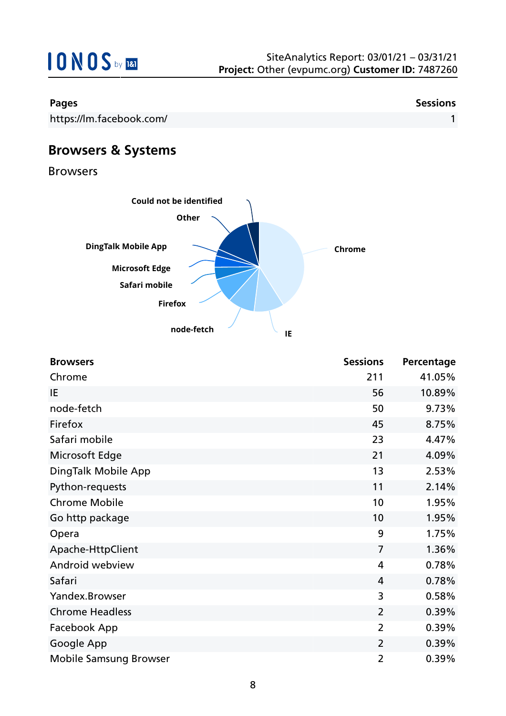

| <b>Browsers</b>               | <b>Sessions</b> | Percentage |
|-------------------------------|-----------------|------------|
| Chrome                        | 211             | 41.05%     |
| IE                            | 56              | 10.89%     |
| node-fetch                    | 50              | 9.73%      |
| Firefox                       | 45              | 8.75%      |
| Safari mobile                 | 23              | 4.47%      |
| Microsoft Edge                | 21              | 4.09%      |
| DingTalk Mobile App           | 13              | 2.53%      |
| Python-requests               | 11              | 2.14%      |
| <b>Chrome Mobile</b>          | 10              | 1.95%      |
| Go http package               | 10              | 1.95%      |
| Opera                         | 9               | 1.75%      |
| Apache-HttpClient             | $\overline{7}$  | 1.36%      |
| Android webview               | 4               | 0.78%      |
| Safari                        | 4               | 0.78%      |
| Yandex.Browser                | 3               | 0.58%      |
| <b>Chrome Headless</b>        | $\overline{2}$  | 0.39%      |
| Facebook App                  | $\overline{2}$  | 0.39%      |
| Google App                    | $\overline{2}$  | 0.39%      |
| <b>Mobile Samsung Browser</b> | $\overline{2}$  | 0.39%      |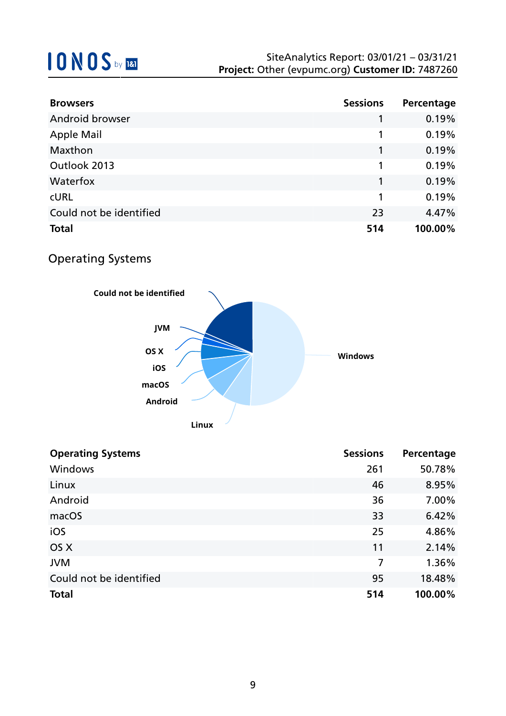| <b>Browsers</b>         | <b>Sessions</b> | Percentage |
|-------------------------|-----------------|------------|
| Android browser         |                 | 0.19%      |
| <b>Apple Mail</b>       | 1               | 0.19%      |
| Maxthon                 |                 | 0.19%      |
| Outlook 2013            | 1               | 0.19%      |
| Waterfox                |                 | 0.19%      |
| <b>CURL</b>             | 1               | 0.19%      |
| Could not be identified | 23              | 4.47%      |
| <b>Total</b>            | 514             | 100.00%    |

## Operating Systems



| <b>Sessions</b> | Percentage |
|-----------------|------------|
| 261             | 50.78%     |
| 46              | 8.95%      |
| 36              | 7.00%      |
| 33              | 6.42%      |
| 25              | 4.86%      |
| 11              | 2.14%      |
| 7               | 1.36%      |
| 95              | 18.48%     |
| 514             | 100.00%    |
|                 |            |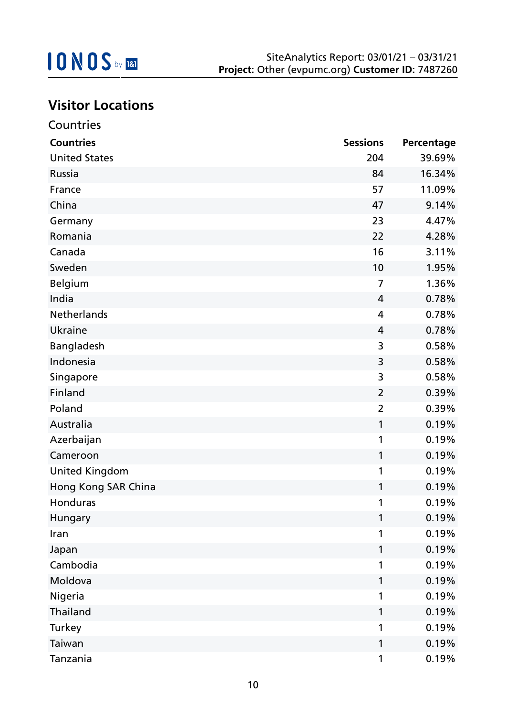

## **Visitor Locations**

| Countries             |                 |            |
|-----------------------|-----------------|------------|
| <b>Countries</b>      | <b>Sessions</b> | Percentage |
| <b>United States</b>  | 204             | 39.69%     |
| Russia                | 84              | 16.34%     |
| France                | 57              | 11.09%     |
| China                 | 47              | 9.14%      |
| Germany               | 23              | 4.47%      |
| Romania               | 22              | 4.28%      |
| Canada                | 16              | 3.11%      |
| Sweden                | 10              | 1.95%      |
| <b>Belgium</b>        | 7               | 1.36%      |
| India                 | 4               | 0.78%      |
| <b>Netherlands</b>    | 4               | 0.78%      |
| Ukraine               | 4               | 0.78%      |
| Bangladesh            | 3               | 0.58%      |
| Indonesia             | 3               | 0.58%      |
| Singapore             | 3               | 0.58%      |
| Finland               | $\overline{2}$  | 0.39%      |
| Poland                | $\overline{2}$  | 0.39%      |
| Australia             | 1               | 0.19%      |
| Azerbaijan            | 1               | 0.19%      |
| Cameroon              | 1               | 0.19%      |
| <b>United Kingdom</b> | 1               | 0.19%      |
| Hong Kong SAR China   | 1               | 0.19%      |
| Honduras              |                 | 0.19%      |
| Hungary               | 1               | 0.19%      |
| Iran                  | 1               | 0.19%      |
| Japan                 | 1               | 0.19%      |
| Cambodia              | 1               | 0.19%      |
| Moldova               | 1               | 0.19%      |
| Nigeria               | 1               | 0.19%      |
| Thailand              | 1               | 0.19%      |
| Turkey                | 1               | 0.19%      |
| Taiwan                | 1               | 0.19%      |
| Tanzania              | 1               | 0.19%      |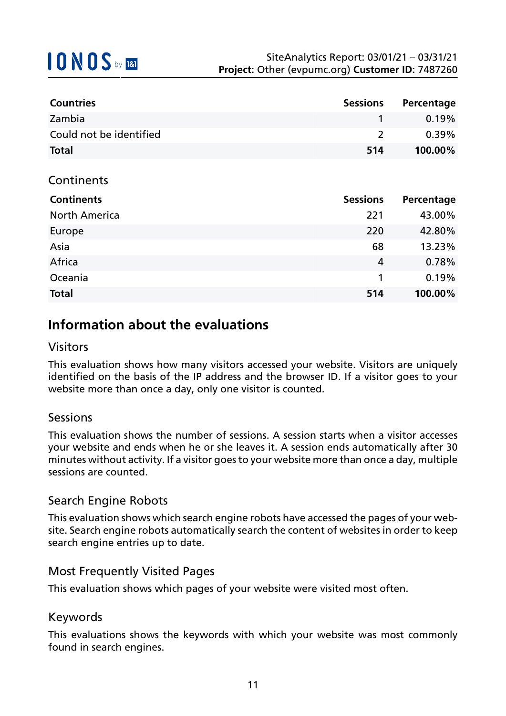| <b>Countries</b>        | <b>Sessions</b> | Percentage |
|-------------------------|-----------------|------------|
| Zambia                  |                 | $0.19\%$   |
| Could not be identified |                 | $0.39\%$   |
| <b>Total</b>            | 514             | 100.00%    |

### **Continents**

| <b>Continents</b>    | <b>Sessions</b> | Percentage |
|----------------------|-----------------|------------|
| <b>North America</b> | 221             | 43.00%     |
| Europe               | 220             | 42.80%     |
| Asia                 | 68              | 13.23%     |
| Africa               | 4               | 0.78%      |
| Oceania              |                 | 0.19%      |
| <b>Total</b>         | 514             | 100.00%    |

## **Information about the evaluations**

### Visitors

This evaluation shows how many visitors accessed your website. Visitors are uniquely identified on the basis of the IP address and the browser ID. If a visitor goes to your website more than once a day, only one visitor is counted.

#### Sessions

This evaluation shows the number of sessions. A session starts when a visitor accesses your website and ends when he or she leaves it. A session ends automatically after 30 minutes without activity. If a visitor goes to your website more than once a day, multiple sessions are counted.

### Search Engine Robots

This evaluation shows which search engine robots have accessed the pages of your website. Search engine robots automatically search the content of websites in order to keep search engine entries up to date.

### Most Frequently Visited Pages

This evaluation shows which pages of your website were visited most often.

#### Keywords

This evaluations shows the keywords with which your website was most commonly found in search engines.